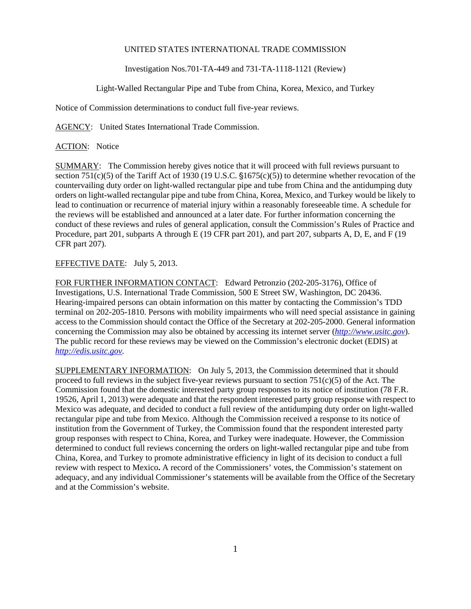## UNITED STATES INTERNATIONAL TRADE COMMISSION

Investigation Nos.701-TA-449 and 731-TA-1118-1121 (Review)

Light-Walled Rectangular Pipe and Tube from China, Korea, Mexico, and Turkey

Notice of Commission determinations to conduct full five-year reviews.

AGENCY: United States International Trade Commission.

ACTION: Notice

SUMMARY: The Commission hereby gives notice that it will proceed with full reviews pursuant to section 751(c)(5) of the Tariff Act of 1930 (19 U.S.C.  $$1675(c)(5)$ ) to determine whether revocation of the countervailing duty order on light-walled rectangular pipe and tube from China and the antidumping duty orders on light-walled rectangular pipe and tube from China, Korea, Mexico, and Turkey would be likely to lead to continuation or recurrence of material injury within a reasonably foreseeable time. A schedule for the reviews will be established and announced at a later date. For further information concerning the conduct of these reviews and rules of general application, consult the Commission's Rules of Practice and Procedure, part 201, subparts A through E (19 CFR part 201), and part 207, subparts A, D, E, and F (19 CFR part 207).

## EFFECTIVE DATE: July 5, 2013.

FOR FURTHER INFORMATION CONTACT: Edward Petronzio (202-205-3176), Office of Investigations, U.S. International Trade Commission, 500 E Street SW, Washington, DC 20436. Hearing-impaired persons can obtain information on this matter by contacting the Commission's TDD terminal on 202-205-1810. Persons with mobility impairments who will need special assistance in gaining access to the Commission should contact the Office of the Secretary at 202-205-2000. General information concerning the Commission may also be obtained by accessing its internet server (*http://www.usitc.gov*). The public record for these reviews may be viewed on the Commission's electronic docket (EDIS) at *http://edis.usitc.gov*.

SUPPLEMENTARY INFORMATION: On July 5, 2013, the Commission determined that it should proceed to full reviews in the subject five-year reviews pursuant to section  $751(c)(5)$  of the Act. The Commission found that the domestic interested party group responses to its notice of institution (78 F.R. 19526, April 1, 2013) were adequate and that the respondent interested party group response with respect to Mexico was adequate, and decided to conduct a full review of the antidumping duty order on light-walled rectangular pipe and tube from Mexico. Although the Commission received a response to its notice of institution from the Government of Turkey, the Commission found that the respondent interested party group responses with respect to China, Korea, and Turkey were inadequate. However, the Commission determined to conduct full reviews concerning the orders on light-walled rectangular pipe and tube from China, Korea, and Turkey to promote administrative efficiency in light of its decision to conduct a full review with respect to Mexico**.** A record of the Commissioners' votes, the Commission's statement on adequacy, and any individual Commissioner's statements will be available from the Office of the Secretary and at the Commission's website.